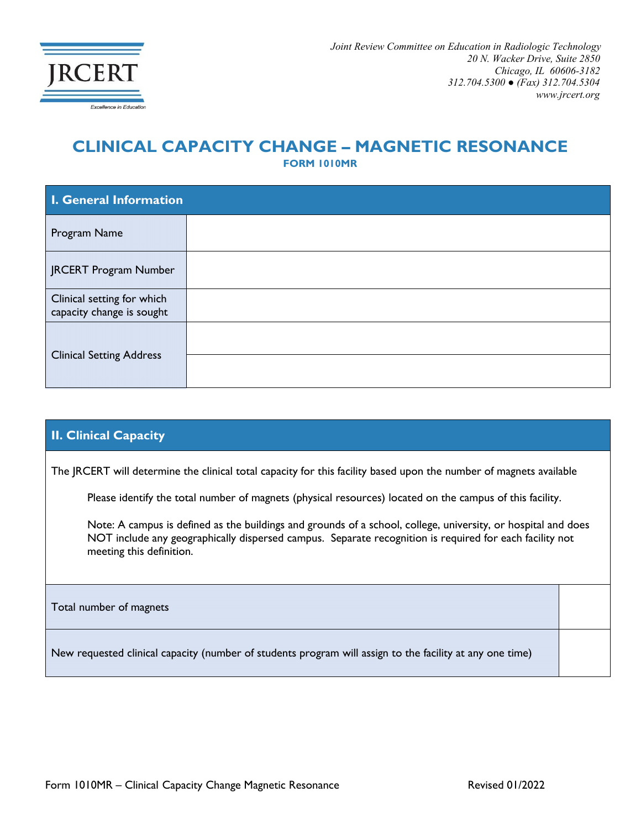

## **CLINICAL CAPACITY CHANGE – MAGNETIC RESONANCE**

**FORM 1010MR**

| I. General Information                                  |  |  |
|---------------------------------------------------------|--|--|
| Program Name                                            |  |  |
| JRCERT Program Number                                   |  |  |
| Clinical setting for which<br>capacity change is sought |  |  |
| <b>Clinical Setting Address</b>                         |  |  |
|                                                         |  |  |

## **II. Clinical Capacity**

The JRCERT will determine the clinical total capacity for this facility based upon the number of magnets available

Please identify the total number of magnets (physical resources) located on the campus of this facility.

Note: A campus is defined as the buildings and grounds of a school, college, university, or hospital and does NOT include any geographically dispersed campus. Separate recognition is required for each facility not meeting this definition.

Total number of magnets

New requested clinical capacity (number of students program will assign to the facility at any one time)